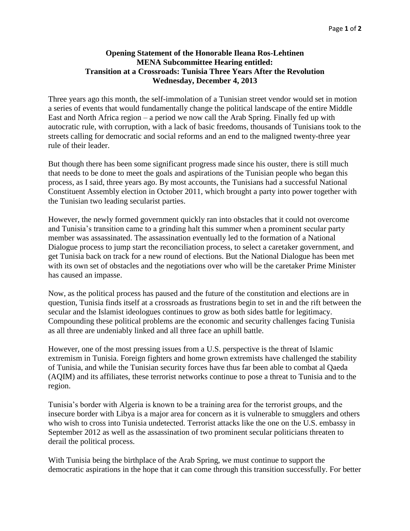## **Opening Statement of the Honorable Ileana Ros-Lehtinen MENA Subcommittee Hearing entitled: Transition at a Crossroads: Tunisia Three Years After the Revolution Wednesday, December 4, 2013**

Three years ago this month, the self-immolation of a Tunisian street vendor would set in motion a series of events that would fundamentally change the political landscape of the entire Middle East and North Africa region – a period we now call the Arab Spring. Finally fed up with autocratic rule, with corruption, with a lack of basic freedoms, thousands of Tunisians took to the streets calling for democratic and social reforms and an end to the maligned twenty-three year rule of their leader.

But though there has been some significant progress made since his ouster, there is still much that needs to be done to meet the goals and aspirations of the Tunisian people who began this process, as I said, three years ago. By most accounts, the Tunisians had a successful National Constituent Assembly election in October 2011, which brought a party into power together with the Tunisian two leading secularist parties.

However, the newly formed government quickly ran into obstacles that it could not overcome and Tunisia's transition came to a grinding halt this summer when a prominent secular party member was assassinated. The assassination eventually led to the formation of a National Dialogue process to jump start the reconciliation process, to select a caretaker government, and get Tunisia back on track for a new round of elections. But the National Dialogue has been met with its own set of obstacles and the negotiations over who will be the caretaker Prime Minister has caused an impasse.

Now, as the political process has paused and the future of the constitution and elections are in question, Tunisia finds itself at a crossroads as frustrations begin to set in and the rift between the secular and the Islamist ideologues continues to grow as both sides battle for legitimacy. Compounding these political problems are the economic and security challenges facing Tunisia as all three are undeniably linked and all three face an uphill battle.

However, one of the most pressing issues from a U.S. perspective is the threat of Islamic extremism in Tunisia. Foreign fighters and home grown extremists have challenged the stability of Tunisia, and while the Tunisian security forces have thus far been able to combat al Qaeda (AQIM) and its affiliates, these terrorist networks continue to pose a threat to Tunisia and to the region.

Tunisia's border with Algeria is known to be a training area for the terrorist groups, and the insecure border with Libya is a major area for concern as it is vulnerable to smugglers and others who wish to cross into Tunisia undetected. Terrorist attacks like the one on the U.S. embassy in September 2012 as well as the assassination of two prominent secular politicians threaten to derail the political process.

With Tunisia being the birthplace of the Arab Spring, we must continue to support the democratic aspirations in the hope that it can come through this transition successfully. For better